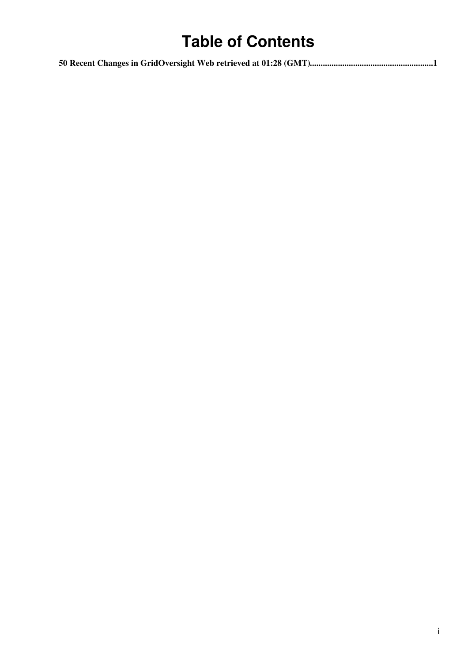# **Table of Contents**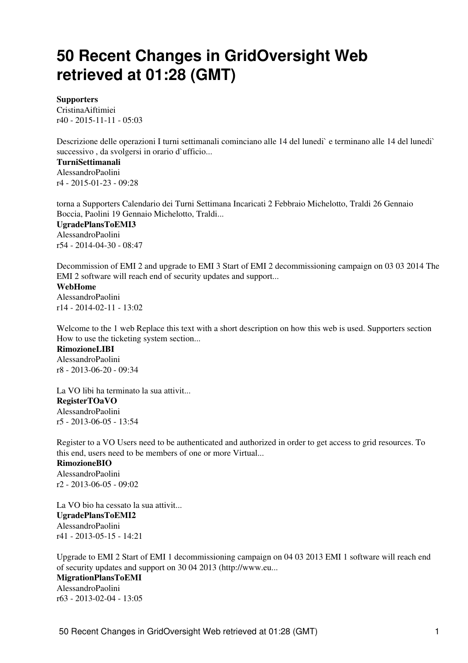# <span id="page-1-0"></span>**50 Recent Changes in GridOversight Web retrieved at 01:28 (GMT)**

#### **[Supporters](https://wiki-igi.cnaf.infn.it/twiki/bin/view/GridOversight/Supporters)**

[CristinaAiftimiei](https://wiki-igi.cnaf.infn.it/twiki/bin/edit/Main/CristinaAiftimiei?topicparent=GridOversight.WebChanges;nowysiwyg=0) r40 - [2015-11-11 - 05:03](https://wiki-igi.cnaf.infn.it/twiki/bin/rdiff/GridOversight/Supporters)

Descrizione delle operazioni I turni settimanali cominciano alle 14 del lunedi` e terminano alle 14 del lunedi` successivo, da svolgersi in orario d'ufficio...

#### **[TurniSettimanali](https://wiki-igi.cnaf.infn.it/twiki/bin/view/GridOversight/TurniSettimanali)**

[AlessandroPaolini](https://wiki-igi.cnaf.infn.it/twiki/bin/view/Main/AlessandroPaolini) r4 - [2015-01-23 - 09:28](https://wiki-igi.cnaf.infn.it/twiki/bin/rdiff/GridOversight/TurniSettimanali) 

torna a Supporters Calendario dei Turni Settimana Incaricati 2 Febbraio Michelotto, Traldi 26 Gennaio Boccia, Paolini 19 Gennaio Michelotto, Traldi...

## **[UgradePlansToEMI3](https://wiki-igi.cnaf.infn.it/twiki/bin/view/GridOversight/UgradePlansToEMI3)** [AlessandroPaolini](https://wiki-igi.cnaf.infn.it/twiki/bin/view/Main/AlessandroPaolini)

r54 - [2014-04-30 - 08:47](https://wiki-igi.cnaf.infn.it/twiki/bin/rdiff/GridOversight/UgradePlansToEMI3)

Decommission of EMI 2 and upgrade to EMI 3 Start of EMI 2 decommissioning campaign on 03 03 2014 The EMI 2 software will reach end of security updates and support...

#### **[WebHome](https://wiki-igi.cnaf.infn.it/twiki/bin/view/GridOversight/WebHome)**

[AlessandroPaolini](https://wiki-igi.cnaf.infn.it/twiki/bin/view/Main/AlessandroPaolini) r14 - [2014-02-11 - 13:02](https://wiki-igi.cnaf.infn.it/twiki/bin/rdiff/GridOversight/WebHome)

Welcome to the 1 web Replace this text with a short description on how this web is used. Supporters section How to use the ticketing system section...

**[RimozioneLIBI](https://wiki-igi.cnaf.infn.it/twiki/bin/view/GridOversight/RimozioneLIBI)** [AlessandroPaolini](https://wiki-igi.cnaf.infn.it/twiki/bin/view/Main/AlessandroPaolini) r8 - [2013-06-20 - 09:34](https://wiki-igi.cnaf.infn.it/twiki/bin/rdiff/GridOversight/RimozioneLIBI) 

La VO libi ha terminato la sua attivit... **[RegisterTOaVO](https://wiki-igi.cnaf.infn.it/twiki/bin/view/GridOversight/RegisterTOaVO)** [AlessandroPaolini](https://wiki-igi.cnaf.infn.it/twiki/bin/view/Main/AlessandroPaolini) r5 - [2013-06-05 - 13:54](https://wiki-igi.cnaf.infn.it/twiki/bin/rdiff/GridOversight/RegisterTOaVO) 

Register to a VO Users need to be authenticated and authorized in order to get access to grid resources. To this end, users need to be members of one or more Virtual... **[RimozioneBIO](https://wiki-igi.cnaf.infn.it/twiki/bin/view/GridOversight/RimozioneBIO)**

[AlessandroPaolini](https://wiki-igi.cnaf.infn.it/twiki/bin/view/Main/AlessandroPaolini) r2 - [2013-06-05 - 09:02](https://wiki-igi.cnaf.infn.it/twiki/bin/rdiff/GridOversight/RimozioneBIO) 

La VO bio ha cessato la sua attivit... **[UgradePlansToEMI2](https://wiki-igi.cnaf.infn.it/twiki/bin/view/GridOversight/UgradePlansToEMI2)** [AlessandroPaolini](https://wiki-igi.cnaf.infn.it/twiki/bin/view/Main/AlessandroPaolini) r41 - [2013-05-15 - 14:21](https://wiki-igi.cnaf.infn.it/twiki/bin/rdiff/GridOversight/UgradePlansToEMI2)

Upgrade to EMI 2 Start of EMI 1 decommissioning campaign on 04 03 2013 EMI 1 software will reach end of security updates and support on 30 04 2013 (http://www.eu... **[MigrationPlansToEMI](https://wiki-igi.cnaf.infn.it/twiki/bin/view/GridOversight/MigrationPlansToEMI)** [AlessandroPaolini](https://wiki-igi.cnaf.infn.it/twiki/bin/view/Main/AlessandroPaolini) r63 - [2013-02-04 - 13:05](https://wiki-igi.cnaf.infn.it/twiki/bin/rdiff/GridOversight/MigrationPlansToEMI)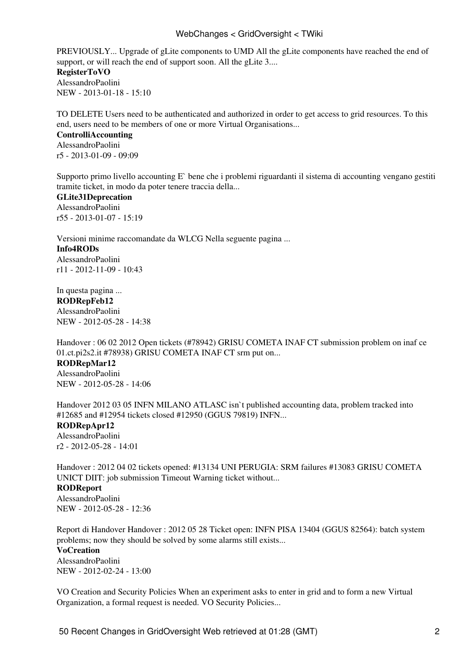### WebChanges < GridOversight < TWiki

PREVIOUSLY... Upgrade of gLite components to UMD All the gLite components have reached the end of support, or will reach the end of support soon. All the gLite 3... **[RegisterToVO](https://wiki-igi.cnaf.infn.it/twiki/bin/view/GridOversight/RegisterToVO)**

[AlessandroPaolini](https://wiki-igi.cnaf.infn.it/twiki/bin/view/Main/AlessandroPaolini) NEW - [2013-01-18 - 15:10](https://wiki-igi.cnaf.infn.it/twiki/bin/rdiff/GridOversight/RegisterToVO) 

TO DELETE Users need to be authenticated and authorized in order to get access to grid resources. To this end, users need to be members of one or more Virtual Organisations...

### **[ControlliAccounting](https://wiki-igi.cnaf.infn.it/twiki/bin/view/GridOversight/ControlliAccounting)** [AlessandroPaolini](https://wiki-igi.cnaf.infn.it/twiki/bin/view/Main/AlessandroPaolini) r5 - [2013-01-09 - 09:09](https://wiki-igi.cnaf.infn.it/twiki/bin/rdiff/GridOversight/ControlliAccounting)

Supporto primo livello accounting E` bene che i problemi riguardanti il sistema di accounting vengano gestiti tramite ticket, in modo da poter tenere traccia della...

#### **[GLite31Deprecation](https://wiki-igi.cnaf.infn.it/twiki/bin/view/GridOversight/GLite31Deprecation)** [AlessandroPaolini](https://wiki-igi.cnaf.infn.it/twiki/bin/view/Main/AlessandroPaolini)

r55 - [2013-01-07 - 15:19](https://wiki-igi.cnaf.infn.it/twiki/bin/rdiff/GridOversight/GLite31Deprecation)

Versioni minime raccomandate da WLCG Nella seguente pagina ... **[Info4RODs](https://wiki-igi.cnaf.infn.it/twiki/bin/view/GridOversight/Info4RODs)** [AlessandroPaolini](https://wiki-igi.cnaf.infn.it/twiki/bin/view/Main/AlessandroPaolini) r11 - [2012-11-09 - 10:43](https://wiki-igi.cnaf.infn.it/twiki/bin/rdiff/GridOversight/Info4RODs)

In questa pagina ... **[RODRepFeb12](https://wiki-igi.cnaf.infn.it/twiki/bin/view/GridOversight/RODRepFeb12)** [AlessandroPaolini](https://wiki-igi.cnaf.infn.it/twiki/bin/view/Main/AlessandroPaolini) NEW - [2012-05-28 - 14:38](https://wiki-igi.cnaf.infn.it/twiki/bin/rdiff/GridOversight/RODRepFeb12) 

Handover : 06 02 2012 Open tickets (#78942) GRISU COMETA INAF CT submission problem on inaf ce 01.ct.pi2s2.it #78938) GRISU COMETA INAF CT srm put on...

#### **[RODRepMar12](https://wiki-igi.cnaf.infn.it/twiki/bin/view/GridOversight/RODRepMar12)**

[AlessandroPaolini](https://wiki-igi.cnaf.infn.it/twiki/bin/view/Main/AlessandroPaolini) NEW - [2012-05-28 - 14:06](https://wiki-igi.cnaf.infn.it/twiki/bin/rdiff/GridOversight/RODRepMar12) 

Handover 2012 03 05 INFN MILANO ATLASC isn't published accounting data, problem tracked into #12685 and #12954 tickets closed #12950 (GGUS 79819) INFN...

### **[RODRepApr12](https://wiki-igi.cnaf.infn.it/twiki/bin/view/GridOversight/RODRepApr12)**

[AlessandroPaolini](https://wiki-igi.cnaf.infn.it/twiki/bin/view/Main/AlessandroPaolini) r2 - [2012-05-28 - 14:01](https://wiki-igi.cnaf.infn.it/twiki/bin/rdiff/GridOversight/RODRepApr12) 

Handover : 2012 04 02 tickets opened: #13134 UNI PERUGIA: SRM failures #13083 GRISU COMETA UNICT DIIT: job submission Timeout Warning ticket without... **[RODReport](https://wiki-igi.cnaf.infn.it/twiki/bin/view/GridOversight/RODReport)**

[AlessandroPaolini](https://wiki-igi.cnaf.infn.it/twiki/bin/view/Main/AlessandroPaolini) NEW - [2012-05-28 - 12:36](https://wiki-igi.cnaf.infn.it/twiki/bin/rdiff/GridOversight/RODReport) 

Report di Handover Handover : 2012 05 28 Ticket open: INFN PISA 13404 (GGUS 82564): batch system problems; now they should be solved by some alarms still exists...

#### **[VoCreation](https://wiki-igi.cnaf.infn.it/twiki/bin/view/GridOversight/VoCreation)**

[AlessandroPaolini](https://wiki-igi.cnaf.infn.it/twiki/bin/view/Main/AlessandroPaolini) NEW - [2012-02-24 - 13:00](https://wiki-igi.cnaf.infn.it/twiki/bin/rdiff/GridOversight/VoCreation) 

VO Creation and Security Policies When an experiment asks to enter in grid and to form a new Virtual Organization, a formal request is needed. VO Security Policies...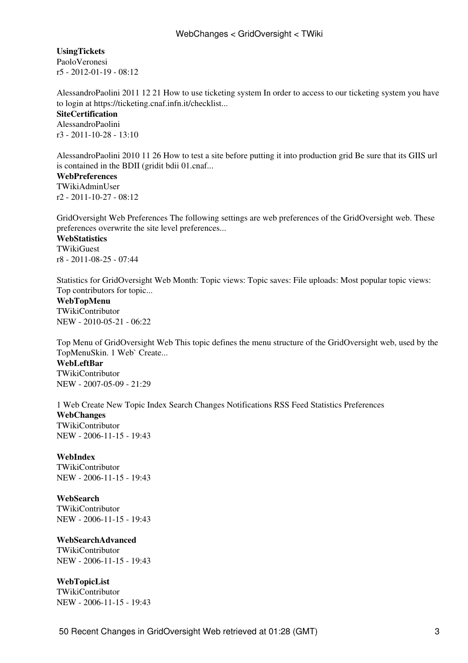**[UsingTickets](https://wiki-igi.cnaf.infn.it/twiki/bin/view/GridOversight/UsingTickets)**

[PaoloVeronesi](https://wiki-igi.cnaf.infn.it/twiki/bin/view/Main/PaoloVeronesi) r5 - [2012-01-19 - 08:12](https://wiki-igi.cnaf.infn.it/twiki/bin/rdiff/GridOversight/UsingTickets) 

AlessandroPaolini 2011 12 21 How to use ticketing system In order to access to our ticketing system you have to login at https://ticketing.cnaf.infn.it/checklist...

**[SiteCertification](https://wiki-igi.cnaf.infn.it/twiki/bin/view/GridOversight/SiteCertification)** [AlessandroPaolini](https://wiki-igi.cnaf.infn.it/twiki/bin/view/Main/AlessandroPaolini) r3 - [2011-10-28 - 13:10](https://wiki-igi.cnaf.infn.it/twiki/bin/rdiff/GridOversight/SiteCertification) 

AlessandroPaolini 2010 11 26 How to test a site before putting it into production grid Be sure that its GIIS url is contained in the BDII (gridit bdii 01.cnaf...

#### **[WebPreferences](https://wiki-igi.cnaf.infn.it/twiki/bin/view/GridOversight/WebPreferences)** [TWikiAdminUser](https://wiki-igi.cnaf.infn.it/twiki/bin/view/Main/TWikiAdminUser) r2 - [2011-10-27 - 08:12](https://wiki-igi.cnaf.infn.it/twiki/bin/rdiff/GridOversight/WebPreferences)

GridOversight Web Preferences The following settings are web preferences of the GridOversight web. These preferences overwrite the site level preferences...

**[WebStatistics](https://wiki-igi.cnaf.infn.it/twiki/bin/view/GridOversight/WebStatistics) [TWikiGuest](https://wiki-igi.cnaf.infn.it/twiki/bin/view/Main/TWikiGuest)** r8 - [2011-08-25 - 07:44](https://wiki-igi.cnaf.infn.it/twiki/bin/rdiff/GridOversight/WebStatistics) 

Statistics for GridOversight Web Month: Topic views: Topic saves: File uploads: Most popular topic views: Top contributors for topic...

**[WebTopMenu](https://wiki-igi.cnaf.infn.it/twiki/bin/view/GridOversight/WebTopMenu)** [TWikiContributor](https://wiki-igi.cnaf.infn.it/twiki/bin/view/Main/TWikiContributor) NEW - [2010-05-21 - 06:22](https://wiki-igi.cnaf.infn.it/twiki/bin/rdiff/GridOversight/WebTopMenu) 

Top Menu of GridOversight Web This topic defines the menu structure of the GridOversight web, used by the TopMenuSkin. 1 Web` Create...

**[WebLeftBar](https://wiki-igi.cnaf.infn.it/twiki/bin/view/GridOversight/WebLeftBar)** [TWikiContributor](https://wiki-igi.cnaf.infn.it/twiki/bin/view/Main/TWikiContributor) NEW - [2007-05-09 - 21:29](https://wiki-igi.cnaf.infn.it/twiki/bin/rdiff/GridOversight/WebLeftBar) 

1 Web Create New Topic Index Search Changes Notifications RSS Feed Statistics Preferences **WebChanges** [TWikiContributor](https://wiki-igi.cnaf.infn.it/twiki/bin/view/Main/TWikiContributor) NEW - [2006-11-15 - 19:43](https://wiki-igi.cnaf.infn.it/twiki/bin/rdiff/GridOversight/WebChanges) 

**[WebIndex](https://wiki-igi.cnaf.infn.it/twiki/bin/view/GridOversight/WebIndex)** [TWikiContributor](https://wiki-igi.cnaf.infn.it/twiki/bin/view/Main/TWikiContributor) NEW - [2006-11-15 - 19:43](https://wiki-igi.cnaf.infn.it/twiki/bin/rdiff/GridOversight/WebIndex) 

**[WebSearch](https://wiki-igi.cnaf.infn.it/twiki/bin/view/GridOversight/WebSearch)** [TWikiContributor](https://wiki-igi.cnaf.infn.it/twiki/bin/view/Main/TWikiContributor) NEW - [2006-11-15 - 19:43](https://wiki-igi.cnaf.infn.it/twiki/bin/rdiff/GridOversight/WebSearch) 

**[WebSearchAdvanced](https://wiki-igi.cnaf.infn.it/twiki/bin/view/GridOversight/WebSearchAdvanced)**

[TWikiContributor](https://wiki-igi.cnaf.infn.it/twiki/bin/view/Main/TWikiContributor) NEW - [2006-11-15 - 19:43](https://wiki-igi.cnaf.infn.it/twiki/bin/rdiff/GridOversight/WebSearchAdvanced) 

**[WebTopicList](https://wiki-igi.cnaf.infn.it/twiki/bin/view/GridOversight/WebTopicList)** [TWikiContributor](https://wiki-igi.cnaf.infn.it/twiki/bin/view/Main/TWikiContributor) NEW - [2006-11-15 - 19:43](https://wiki-igi.cnaf.infn.it/twiki/bin/rdiff/GridOversight/WebTopicList)